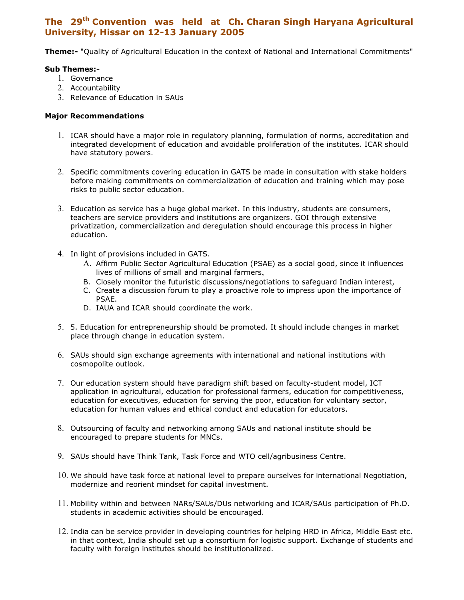## The 29<sup>th</sup> Convention was held at Ch. Charan Singh Haryana Agricultural University, Hissar on 12-13 January 2005

**Theme:-** "Quality of Agricultural Education in the context of National and International Commitments"

## Sub Themes:-

- 1. Governance
- 2. Accountability
- 3. Relevance of Education in SAUs

## Major Recommendations

- 1. ICAR should have a major role in regulatory planning, formulation of norms, accreditation and integrated development of education and avoidable proliferation of the institutes. ICAR should have statutory powers.
- 2. Specific commitments covering education in GATS be made in consultation with stake holders before making commitments on commercialization of education and training which may pose risks to public sector education.
- 3. Education as service has a huge global market. In this industry, students are consumers, teachers are service providers and institutions are organizers. GOI through extensive privatization, commercialization and deregulation should encourage this process in higher education.
- 4. In light of provisions included in GATS.
	- A. Affirm Public Sector Agricultural Education (PSAE) as a social good, since it influences lives of millions of small and marginal farmers,
	- B. Closely monitor the futuristic discussions/negotiations to safeguard Indian interest,
	- C. Create a discussion forum to play a proactive role to impress upon the importance of PSAE.
	- D. IAUA and ICAR should coordinate the work.
- 5. 5. Education for entrepreneurship should be promoted. It should include changes in market place through change in education system.
- 6. SAUs should sign exchange agreements with international and national institutions with cosmopolite outlook.
- 7. Our education system should have paradigm shift based on faculty-student model, ICT application in agricultural, education for professional farmers, education for competitiveness, education for executives, education for serving the poor, education for voluntary sector, education for human values and ethical conduct and education for educators.
- 8. Outsourcing of faculty and networking among SAUs and national institute should be encouraged to prepare students for MNCs.
- 9. SAUs should have Think Tank, Task Force and WTO cell/agribusiness Centre.
- 10. We should have task force at national level to prepare ourselves for international Negotiation, modernize and reorient mindset for capital investment.
- 11. Mobility within and between NARs/SAUs/DUs networking and ICAR/SAUs participation of Ph.D. students in academic activities should be encouraged.
- 12. India can be service provider in developing countries for helping HRD in Africa, Middle East etc. in that context, India should set up a consortium for logistic support. Exchange of students and faculty with foreign institutes should be institutionalized.